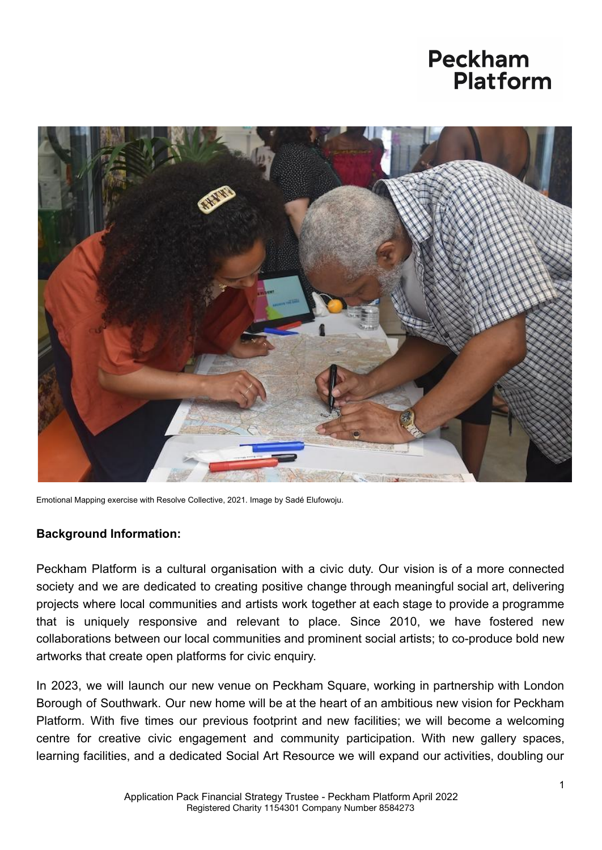

Emotional Mapping exercise with Resolve Collective, 2021. Image by Sadé Elufowoju.

#### **Background Information:**

Peckham Platform is a cultural organisation with a civic duty. Our vision is of a more connected society and we are dedicated to creating positive change through meaningful social art, delivering projects where local communities and artists work together at each stage to provide a programme that is uniquely responsive and relevant to place. Since 2010, we have fostered new collaborations between our local communities and prominent social artists; to co-produce bold new artworks that create open platforms for civic enquiry.

In 2023, we will launch our new venue on Peckham Square, working in partnership with London Borough of Southwark. Our new home will be at the heart of an ambitious new vision for Peckham Platform. With five times our previous footprint and new facilities; we will become a welcoming centre for creative civic engagement and community participation. With new gallery spaces, learning facilities, and a dedicated Social Art Resource we will expand our activities, doubling our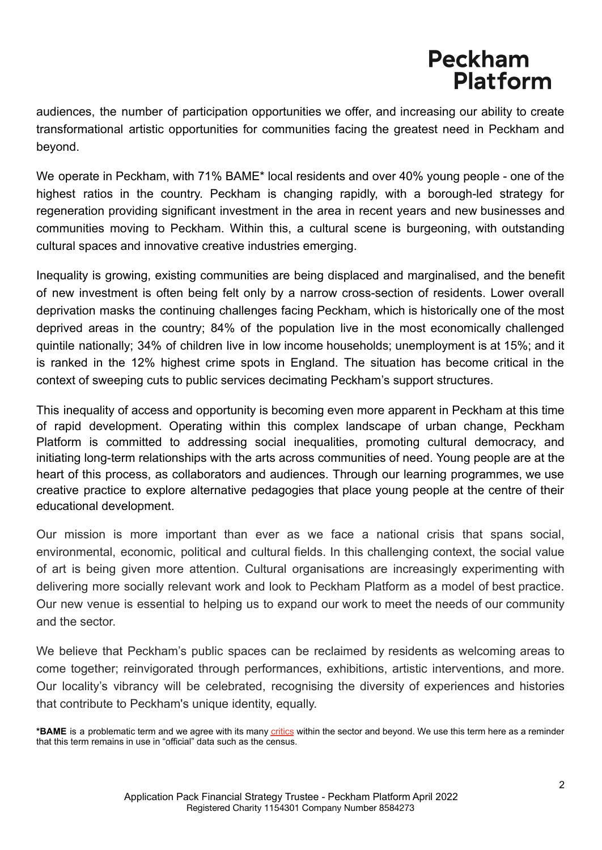audiences, the number of participation opportunities we offer, and increasing our ability to create transformational artistic opportunities for communities facing the greatest need in Peckham and beyond.

We operate in Peckham, with 71% BAME<sup>\*</sup> local residents and over 40% young people - one of the highest ratios in the country. Peckham is changing rapidly, with a borough-led strategy for regeneration providing significant investment in the area in recent years and new businesses and communities moving to Peckham. Within this, a cultural scene is burgeoning, with outstanding cultural spaces and innovative creative industries emerging.

Inequality is growing, existing communities are being displaced and marginalised, and the benefit of new investment is often being felt only by a narrow cross-section of residents. Lower overall deprivation masks the continuing challenges facing Peckham, which is historically one of the most deprived areas in the country; 84% of the population live in the most economically challenged quintile nationally; 34% of children live in low income households; unemployment is at 15%; and it is ranked in the 12% highest crime spots in England. The situation has become critical in the context of sweeping cuts to public services decimating Peckham's support structures.

This inequality of access and opportunity is becoming even more apparent in Peckham at this time of rapid development. Operating within this complex landscape of urban change, Peckham Platform is committed to addressing social inequalities, promoting cultural democracy, and initiating long-term relationships with the arts across communities of need. Young people are at the heart of this process, as collaborators and audiences. Through our learning programmes, we use creative practice to explore alternative pedagogies that place young people at the centre of their educational development.

Our mission is more important than ever as we face a national crisis that spans social, environmental, economic, political and cultural fields. In this challenging context, the social value of art is being given more attention. Cultural organisations are increasingly experimenting with delivering more socially relevant work and look to Peckham Platform as a model of best practice. Our new venue is essential to helping us to expand our work to meet the needs of our community and the sector.

We believe that Peckham's public spaces can be reclaimed by residents as welcoming areas to come together; reinvigorated through performances, exhibitions, artistic interventions, and more. Our locality's vibrancy will be celebrated, recognising the diversity of experiences and histories that contribute to Peckham's unique identity, equally.

**<sup>\*</sup>BAME** is a problematic term and we agree with its many [critics](https://incarts.uk/%23bameover-the-statement) within the sector and beyond. We use this term here as a reminder that this term remains in use in "official" data such as the census.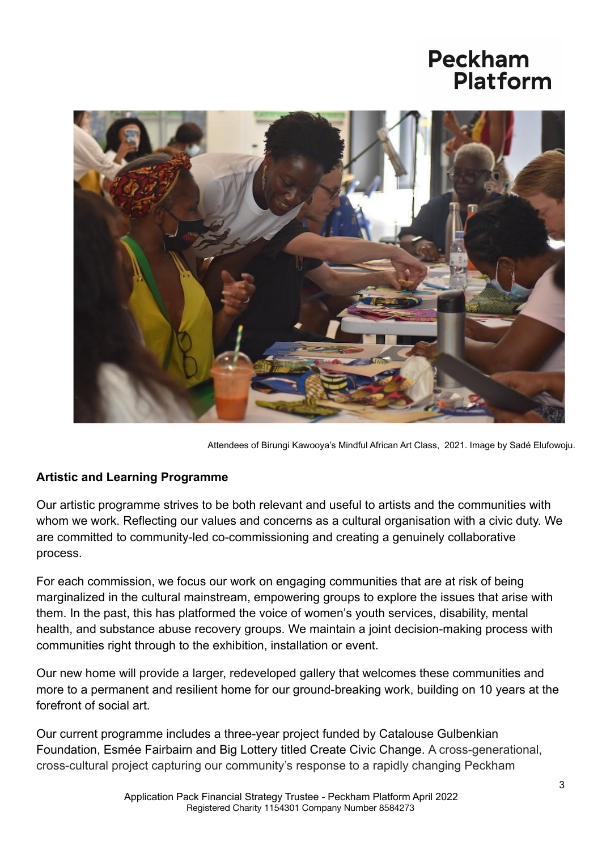

Attendees of Birungi Kawooya's Mindful African Art Class, 2021. Image by Sadé Elufowoju.

#### **Artistic and Learning Programme**

Our artistic programme strives to be both relevant and useful to artists and the communities with whom we work. Reflecting our values and concerns as a cultural organisation with a civic duty. We are committed to community-led co-commissioning and creating a genuinely collaborative process.

For each commission, we focus our work on engaging communities that are at risk of being marginalized in the cultural mainstream, empowering groups to explore the issues that arise with them. In the past, this has platformed the voice of women's youth services, disability, mental health, and substance abuse recovery groups. We maintain a joint decision-making process with communities right through to the exhibition, installation or event.

Our new home will provide a larger, redeveloped gallery that welcomes these communities and more to a permanent and resilient home for our ground-breaking work, building on 10 years at the forefront of social art.

Our current programme includes a three-year project funded by Catalouse Gulbenkian Foundation, Esmée Fairbairn and Big Lottery titled Create Civic Change. A cross-generational, cross-cultural project capturing our community's response to a rapidly changing Peckham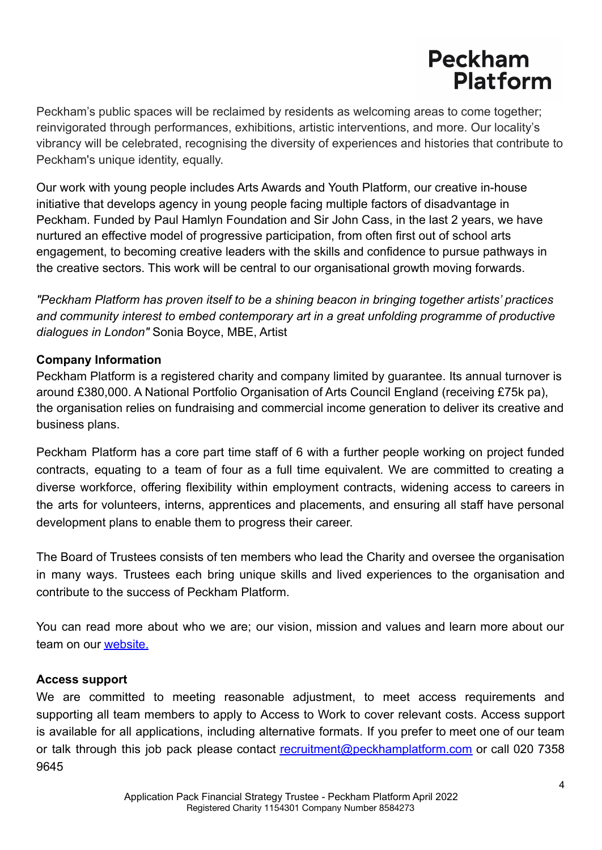Peckham's public spaces will be reclaimed by residents as welcoming areas to come together; reinvigorated through performances, exhibitions, artistic interventions, and more. Our locality's vibrancy will be celebrated, recognising the diversity of experiences and histories that contribute to Peckham's unique identity, equally.

Our work with young people includes Arts Awards and Youth Platform, our creative in-house initiative that develops agency in young people facing multiple factors of disadvantage in Peckham. Funded by Paul Hamlyn Foundation and Sir John Cass, in the last 2 years, we have nurtured an effective model of progressive participation, from often first out of school arts engagement, to becoming creative leaders with the skills and confidence to pursue pathways in the creative sectors. This work will be central to our organisational growth moving forwards.

*"Peckham Platform has proven itself to be a shining beacon in bringing together artists' practices and community interest to embed contemporary art in a great unfolding programme of productive dialogues in London"* Sonia Boyce, MBE, Artist

#### **Company Information**

Peckham Platform is a registered charity and company limited by guarantee. Its annual turnover is around £380,000. A National Portfolio Organisation of Arts Council England (receiving £75k pa), the organisation relies on fundraising and commercial income generation to deliver its creative and business plans.

Peckham Platform has a core part time staff of 6 with a further people working on project funded contracts, equating to a team of four as a full time equivalent. We are committed to creating a diverse workforce, offering flexibility within employment contracts, widening access to careers in the arts for volunteers, interns, apprentices and placements, and ensuring all staff have personal development plans to enable them to progress their career.

The Board of Trustees consists of ten members who lead the Charity and oversee the organisation in many ways. Trustees each bring unique skills and lived experiences to the organisation and contribute to the success of Peckham Platform.

You can read more about who we are; our vision, mission and values and learn more about our team on our [website.](https://www.peckhamplatform.com/who-we-are/)

#### **Access support**

We are committed to meeting reasonable adjustment, to meet access requirements and supporting all team members to apply to Access to Work to cover relevant costs. Access support is available for all applications, including alternative formats. If you prefer to meet one of our team or talk through this job pack please contact [recruitment@peckhamplatform.com](mailto:recruitment@peckhamplatform.com) or call 020 7358 9645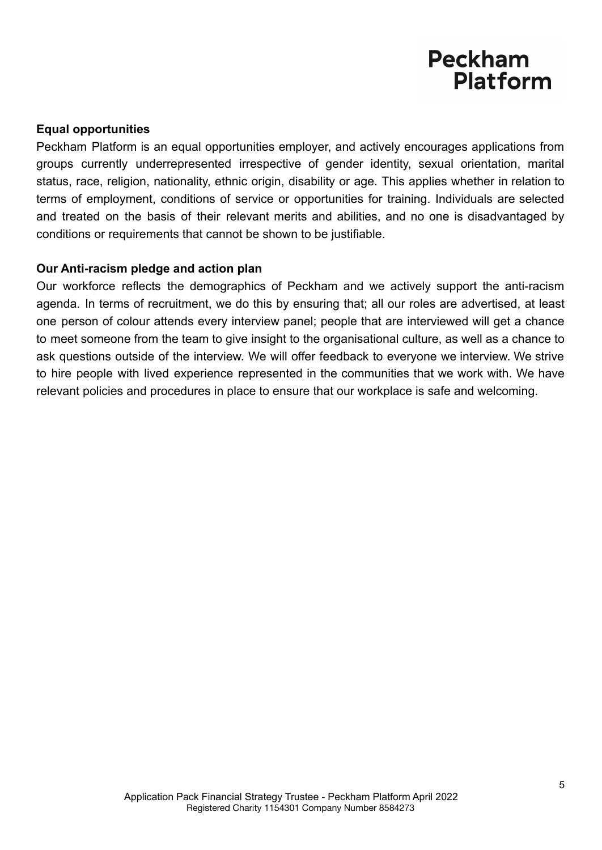#### **Equal opportunities**

Peckham Platform is an equal opportunities employer, and actively encourages applications from groups currently underrepresented irrespective of gender identity, sexual orientation, marital status, race, religion, nationality, ethnic origin, disability or age. This applies whether in relation to terms of employment, conditions of service or opportunities for training. Individuals are selected and treated on the basis of their relevant merits and abilities, and no one is disadvantaged by conditions or requirements that cannot be shown to be justifiable.

#### **Our Anti-racism pledge and action plan**

Our workforce reflects the demographics of Peckham and we actively support the anti-racism agenda. In terms of recruitment, we do this by ensuring that; all our roles are advertised, at least one person of colour attends every interview panel; people that are interviewed will get a chance to meet someone from the team to give insight to the organisational culture, as well as a chance to ask questions outside of the interview. We will offer feedback to everyone we interview. We strive to hire people with lived experience represented in the communities that we work with. We have relevant policies and procedures in place to ensure that our workplace is safe and welcoming.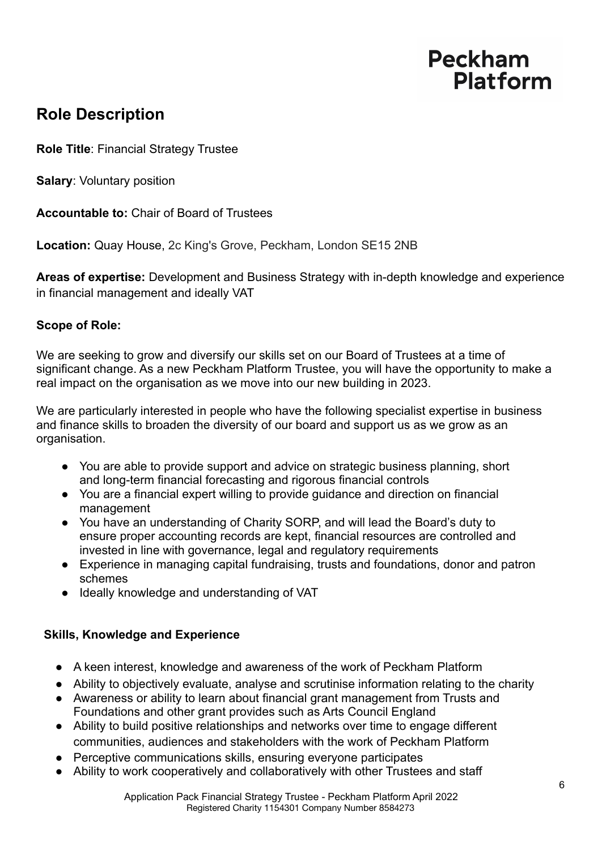### **Role Description**

**Role Title**: Financial Strategy Trustee

**Salary**: Voluntary position

**Accountable to:** Chair of Board of Trustees

**Location:** Quay House, 2c King's Grove, Peckham, London SE15 2NB

**Areas of expertise:** Development and Business Strategy with in-depth knowledge and experience in financial management and ideally VAT

#### **Scope of Role:**

We are seeking to grow and diversify our skills set on our Board of Trustees at a time of significant change. As a new Peckham Platform Trustee, you will have the opportunity to make a real impact on the organisation as we move into our new building in 2023.

We are particularly interested in people who have the following specialist expertise in business and finance skills to broaden the diversity of our board and support us as we grow as an organisation.

- You are able to provide support and advice on strategic business planning, short and long-term financial forecasting and rigorous financial controls
- You are a financial expert willing to provide guidance and direction on financial management
- You have an understanding of Charity SORP, and will lead the Board's duty to ensure proper accounting records are kept, financial resources are controlled and invested in line with governance, legal and regulatory requirements
- Experience in managing capital fundraising, trusts and foundations, donor and patron schemes
- Ideally knowledge and understanding of VAT

#### **Skills, Knowledge and Experience**

- A keen interest, knowledge and awareness of the work of Peckham Platform
- Ability to objectively evaluate, analyse and scrutinise information relating to the charity
- Awareness or ability to learn about financial grant management from Trusts and Foundations and other grant provides such as Arts Council England
- Ability to build positive relationships and networks over time to engage different communities, audiences and stakeholders with the work of Peckham Platform
- Perceptive communications skills, ensuring everyone participates
- Ability to work cooperatively and collaboratively with other Trustees and staff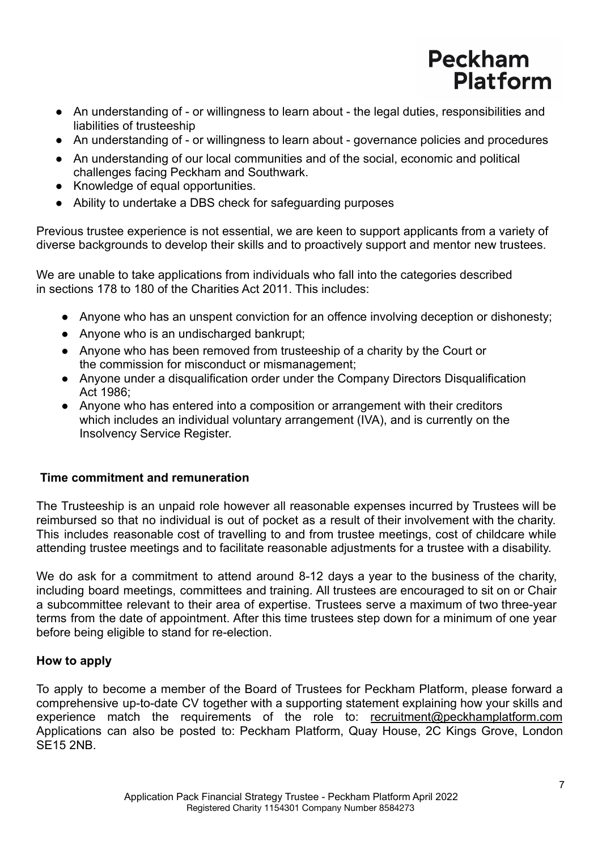- An understanding of or willingness to learn about the legal duties, responsibilities and liabilities of trusteeship
- An understanding of or willingness to learn about governance policies and procedures
- An understanding of our local communities and of the social, economic and political challenges facing Peckham and Southwark.
- Knowledge of equal opportunities.
- Ability to undertake a DBS check for safeguarding purposes

Previous trustee experience is not essential, we are keen to support applicants from a variety of diverse backgrounds to develop their skills and to proactively support and mentor new trustees.

We are unable to take applications from individuals who fall into the categories described in sections 178 to 180 of the Charities Act 2011. This includes:

- Anyone who has an unspent conviction for an offence involving deception or dishonesty;
- Anyone who is an undischarged bankrupt;
- Anyone who has been removed from trusteeship of a charity by the Court or the commission for misconduct or mismanagement;
- Anyone under a disqualification order under the Company Directors Disqualification Act 1986;
- Anyone who has entered into a composition or arrangement with their creditors which includes an individual voluntary arrangement (IVA), and is currently on the Insolvency Service Register.

#### **Time commitment and remuneration**

The Trusteeship is an unpaid role however all reasonable expenses incurred by Trustees will be reimbursed so that no individual is out of pocket as a result of their involvement with the charity. This includes reasonable cost of travelling to and from trustee meetings, cost of childcare while attending trustee meetings and to facilitate reasonable adjustments for a trustee with a disability.

We do ask for a commitment to attend around 8-12 days a year to the business of the charity, including board meetings, committees and training. All trustees are encouraged to sit on or Chair a subcommittee relevant to their area of expertise. Trustees serve a maximum of two three-year terms from the date of appointment. After this time trustees step down for a minimum of one year before being eligible to stand for re-election.

#### **How to apply**

To apply to become a member of the Board of Trustees for Peckham Platform, please forward a comprehensive up-to-date CV together with a supporting statement explaining how your skills and experience match the requirements of the role to: [recruitment@peckhamplatform.com](mailto:recruitment@peckhamplatform.com) Applications can also be posted to: Peckham Platform, Quay House, 2C Kings Grove, London SE15 2NB.